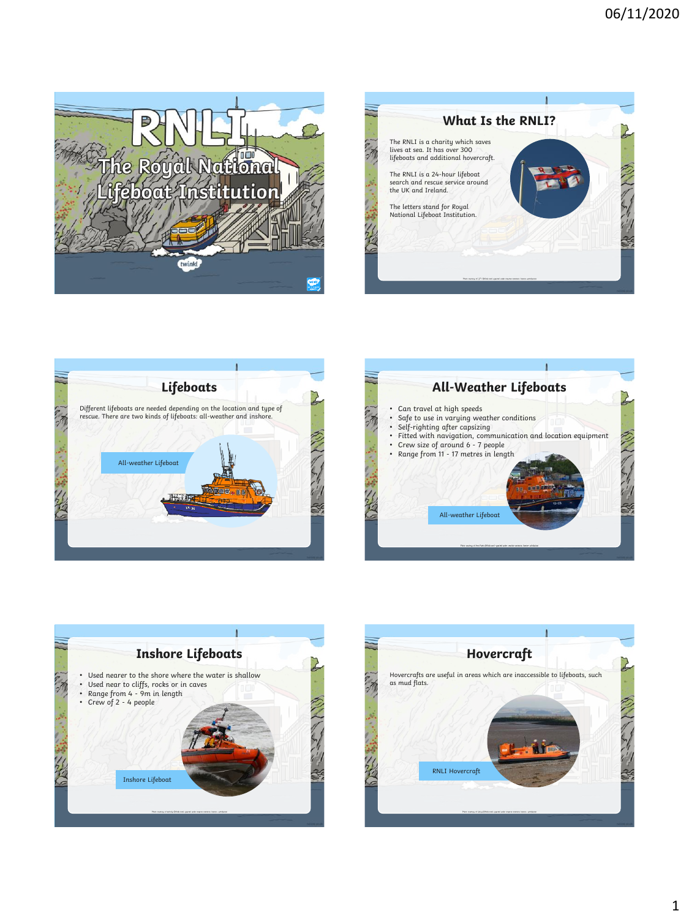









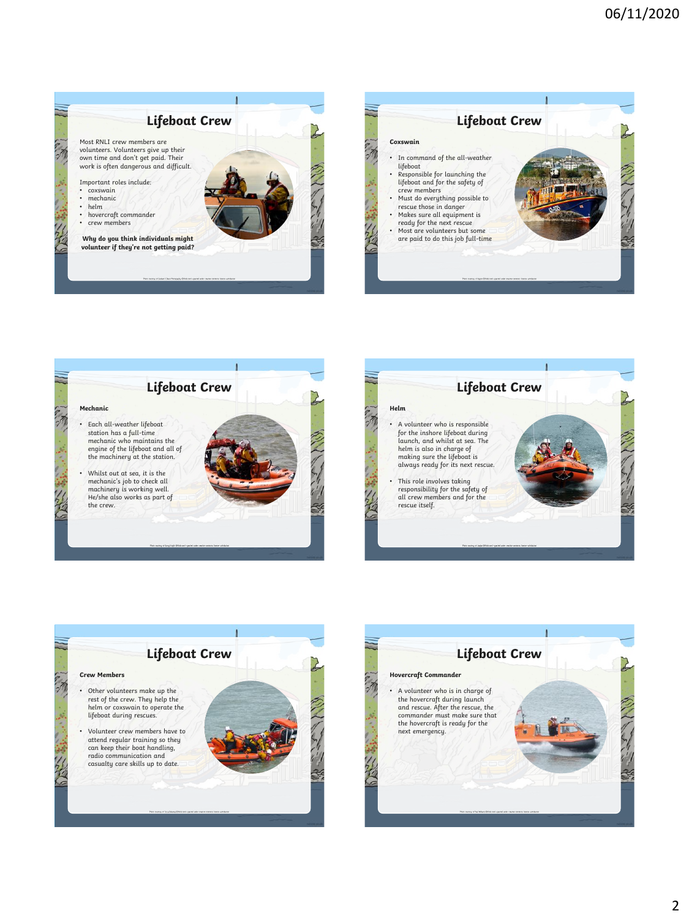

## **Lifeboat Crew**

Most RNLI crew members are volunteers. Volunteers give up their own time and don't get paid. Their work is often dangerous and difficult.

Important roles include:

- coxswain
- mechanic helm
- hovercraft commander
- crew members

**Why do you think individuals might volunteer if they're not getting paid?**



|                                                                                                                                                                                                                                                                                                                           | <b>Lifeboat Crew</b> |  |
|---------------------------------------------------------------------------------------------------------------------------------------------------------------------------------------------------------------------------------------------------------------------------------------------------------------------------|----------------------|--|
| Coxswain                                                                                                                                                                                                                                                                                                                  |                      |  |
| In command of the all-weather<br>lifeboat<br>Responsible for launching the<br>lifeboat and for the safety of<br>crew members<br>Must do everything possible to<br>rescue those in danger<br>Makes sure all equipment is<br>ready for the next rescue<br>Most are volunteers but some<br>are paid to do this job full-time |                      |  |